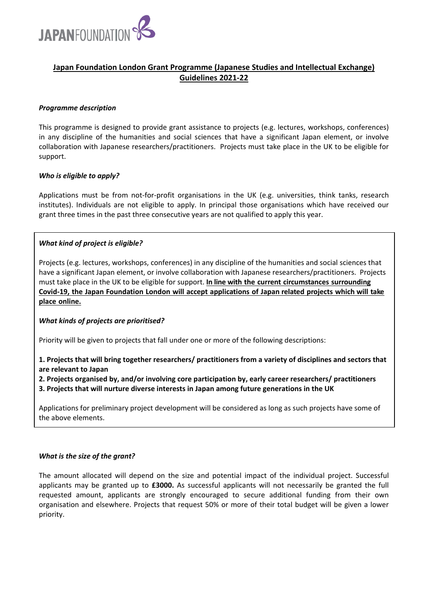

## **Japan Foundation London Grant Programme (Japanese Studies and Intellectual Exchange) Guidelines 2021-22**

#### *Programme description*

This programme is designed to provide grant assistance to projects (e.g. lectures, workshops, conferences) in any discipline of the humanities and social sciences that have a significant Japan element, or involve collaboration with Japanese researchers/practitioners. Projects must take place in the UK to be eligible for support.

## *Who is eligible to apply?*

Applications must be from not-for-profit organisations in the UK (e.g. universities, think tanks, research institutes). Individuals are not eligible to apply. In principal those organisations which have received our grant three times in the past three consecutive years are not qualified to apply this year.

## *What kind of project is eligible?*

Projects (e.g. lectures, workshops, conferences) in any discipline of the humanities and social sciences that have a significant Japan element, or involve collaboration with Japanese researchers/practitioners. Projects must take place in the UK to be eligible for support. **In line with the current circumstances surrounding Covid-19, the Japan Foundation London will accept applications of Japan related projects which will take place online.**

#### *What kinds of projects are prioritised?*

Priority will be given to projects that fall under one or more of the following descriptions:

## **1. Projects that will bring together researchers/ practitioners from a variety of disciplines and sectors that are relevant to Japan**

# **2. Projects organised by, and/or involving core participation by, early career researchers/ practitioners**

**3. Projects that will nurture diverse interests in Japan among future generations in the UK** 

Applications for preliminary project development will be considered as long as such projects have some of the above elements.

#### *What is the size of the grant?*

The amount allocated will depend on the size and potential impact of the individual project. Successful applicants may be granted up to **£3000.** As successful applicants will not necessarily be granted the full requested amount, applicants are strongly encouraged to secure additional funding from their own organisation and elsewhere. Projects that request 50% or more of their total budget will be given a lower priority.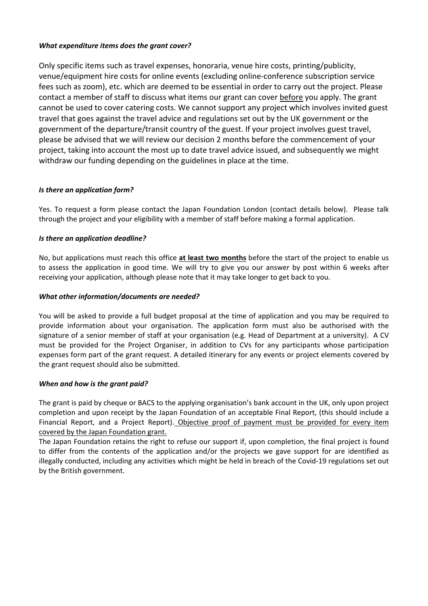## *What expenditure items does the grant cover?*

Only specific items such as travel expenses, honoraria, venue hire costs, printing/publicity, venue/equipment hire costs for online events (excluding online-conference subscription service fees such as zoom), etc. which are deemed to be essential in order to carry out the project. Please contact a member of staff to discuss what items our grant can cover before you apply. The grant cannot be used to cover catering costs. We cannot support any project which involves invited guest travel that goes against the travel advice and regulations set out by the UK government or the government of the departure/transit country of the guest. If your project involves guest travel, please be advised that we will review our decision 2 months before the commencement of your project, taking into account the most up to date travel advice issued, and subsequently we might withdraw our funding depending on the guidelines in place at the time.

## *Is there an application form?*

Yes. To request a form please contact the Japan Foundation London (contact details below). Please talk through the project and your eligibility with a member of staff before making a formal application.

## *Is there an application deadline?*

No, but applications must reach this office **at least two months** before the start of the project to enable us to assess the application in good time. We will try to give you our answer by post within 6 weeks after receiving your application, although please note that it may take longer to get back to you.

#### *What other information/documents are needed?*

You will be asked to provide a full budget proposal at the time of application and you may be required to provide information about your organisation. The application form must also be authorised with the signature of a senior member of staff at your organisation (e.g. Head of Department at a university). A CV must be provided for the Project Organiser, in addition to CVs for any participants whose participation expenses form part of the grant request. A detailed itinerary for any events or project elements covered by the grant request should also be submitted.

#### *When and how is the grant paid?*

The grant is paid by cheque or BACS to the applying organisation's bank account in the UK, only upon project completion and upon receipt by the Japan Foundation of an acceptable Final Report, (this should include a Financial Report, and a Project Report). Objective proof of payment must be provided for every item covered by the Japan Foundation grant.

The Japan Foundation retains the right to refuse our support if, upon completion, the final project is found to differ from the contents of the application and/or the projects we gave support for are identified as illegally conducted, including any activities which might be held in breach of the Covid-19 regulations set out by the British government.